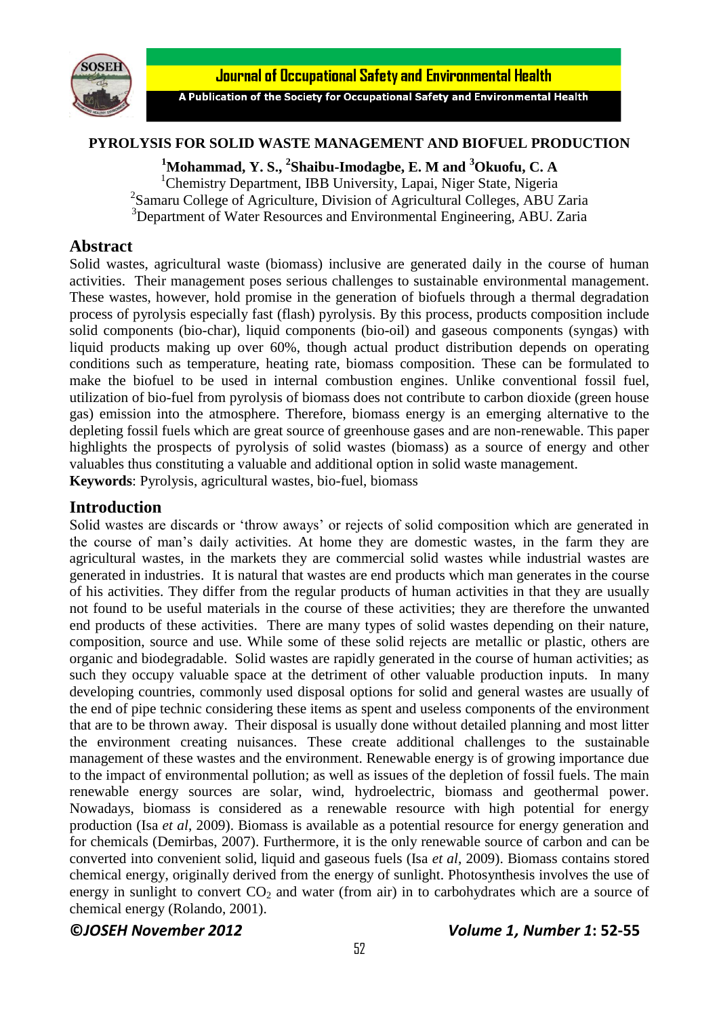

Journal of Occupational Safety and Environmental Health

A Publication of the Society for Occupational Safety and Environmental Health

#### **PYROLYSIS FOR SOLID WASTE MANAGEMENT AND BIOFUEL PRODUCTION**

**<sup>1</sup>Mohammad, Y. S., 2 Shaibu-Imodagbe, E. M and <sup>3</sup>Okuofu, C. A** <sup>1</sup>Chemistry Department, IBB University, Lapai, Niger State, Nigeria 2 Samaru College of Agriculture, Division of Agricultural Colleges, ABU Zaria <sup>3</sup>Department of Water Resources and Environmental Engineering, ABU. Zaria

### **Abstract**

Solid wastes, agricultural waste (biomass) inclusive are generated daily in the course of human activities. Their management poses serious challenges to sustainable environmental management. These wastes, however, hold promise in the generation of biofuels through a thermal degradation process of pyrolysis especially fast (flash) pyrolysis. By this process, products composition include solid components (bio-char), liquid components (bio-oil) and gaseous components (syngas) with liquid products making up over 60%, though actual product distribution depends on operating conditions such as temperature, heating rate, biomass composition. These can be formulated to make the biofuel to be used in internal combustion engines. Unlike conventional fossil fuel, utilization of bio-fuel from pyrolysis of biomass does not contribute to carbon dioxide (green house gas) emission into the atmosphere. Therefore, biomass energy is an emerging alternative to the depleting fossil fuels which are great source of greenhouse gases and are non-renewable. This paper highlights the prospects of pyrolysis of solid wastes (biomass) as a source of energy and other valuables thus constituting a valuable and additional option in solid waste management. **Keywords**: Pyrolysis, agricultural wastes, bio-fuel, biomass

### **Introduction**

Solid wastes are discards or 'throw aways' or rejects of solid composition which are generated in the course of man's daily activities. At home they are domestic wastes, in the farm they are agricultural wastes, in the markets they are commercial solid wastes while industrial wastes are generated in industries. It is natural that wastes are end products which man generates in the course of his activities. They differ from the regular products of human activities in that they are usually not found to be useful materials in the course of these activities; they are therefore the unwanted end products of these activities. There are many types of solid wastes depending on their nature, composition, source and use. While some of these solid rejects are metallic or plastic, others are organic and biodegradable. Solid wastes are rapidly generated in the course of human activities; as such they occupy valuable space at the detriment of other valuable production inputs. In many developing countries, commonly used disposal options for solid and general wastes are usually of the end of pipe technic considering these items as spent and useless components of the environment that are to be thrown away. Their disposal is usually done without detailed planning and most litter the environment creating nuisances. These create additional challenges to the sustainable management of these wastes and the environment. Renewable energy is of growing importance due to the impact of environmental pollution; as well as issues of the depletion of fossil fuels. The main renewable energy sources are solar, wind, hydroelectric, biomass and geothermal power. Nowadays, biomass is considered as a renewable resource with high potential for energy production (Isa *et al*, 2009). Biomass is available as a potential resource for energy generation and for chemicals (Demirbas, 2007). Furthermore, it is the only renewable source of carbon and can be converted into convenient solid, liquid and gaseous fuels (Isa *et al*, 2009). Biomass contains stored chemical energy, originally derived from the energy of sunlight. Photosynthesis involves the use of energy in sunlight to convert  $CO<sub>2</sub>$  and water (from air) in to carbohydrates which are a source of chemical energy (Rolando, 2001).

**©***JOSEH November 2012 Volume 1, Number 1***: 52-55**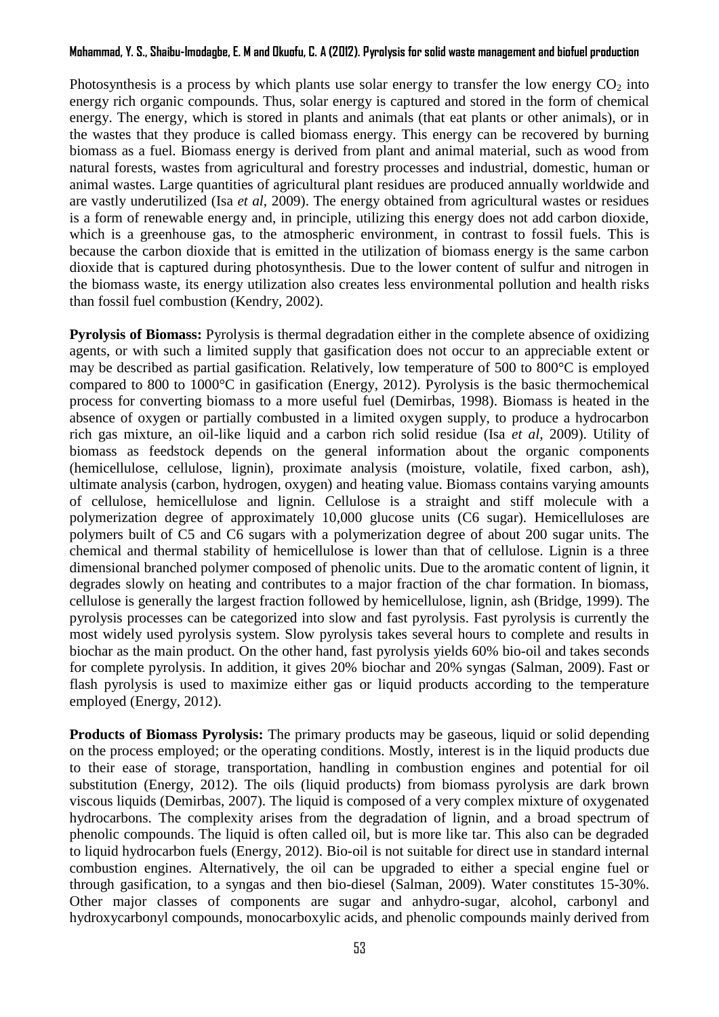### **Mohammad, Y. S., Shaibu-Imodagbe, E. M and Okuofu, C. A (2012). Pyrolysis for solid waste managementand biofuel production**

Photosynthesis is a process by which plants use solar energy to transfer the low energy  $CO<sub>2</sub>$  into energy rich organic compounds. Thus, solar energy is captured and stored in the form of chemical energy. The energy, which is stored in plants and animals (that eat plants or other animals), or in the wastes that they produce is called biomass energy. This energy can be recovered by burning biomass as a fuel. Biomass energy is derived from plant and animal material, such as wood from natural forests, wastes from agricultural and forestry processes and industrial, domestic, human or animal wastes. Large quantities of agricultural plant residues are produced annually worldwide and are vastly underutilized (Isa *et al*, 2009). The energy obtained from agricultural wastes or residues is a form of renewable energy and, in principle, utilizing this energy does not add carbon dioxide, which is a greenhouse gas, to the atmospheric environment, in contrast to fossil fuels. This is because the carbon dioxide that is emitted in the utilization of biomass energy is the same carbon dioxide that is captured during photosynthesis. Due to the lower content of sulfur and nitrogen in the biomass waste, its energy utilization also creates less environmental pollution and health risks than fossil fuel combustion (Kendry, 2002).

**Pyrolysis of Biomass:** Pyrolysis is thermal degradation either in the complete absence of oxidizing agents, or with such a limited supply that gasification does not occur to an appreciable extent or may be described as partial gasification. Relatively, low temperature of 500 to 800°C is employed compared to 800 to 1000°C in gasification (Energy, 2012). Pyrolysis is the basic thermochemical process for converting biomass to a more useful fuel (Demirbas, 1998). Biomass is heated in the absence of oxygen or partially combusted in a limited oxygen supply, to produce a hydrocarbon rich gas mixture, an oil-like liquid and a carbon rich solid residue (Isa *et al*, 2009). Utility of biomass as feedstock depends on the general information about the organic components (hemicellulose, cellulose, lignin), proximate analysis (moisture, volatile, fixed carbon, ash), ultimate analysis (carbon, hydrogen, oxygen) and heating value. Biomass contains varying amounts of cellulose, hemicellulose and lignin. Cellulose is a straight and stiff molecule with a polymerization degree of approximately 10,000 glucose units (C6 sugar). Hemicelluloses are polymers built of C5 and C6 sugars with a polymerization degree of about 200 sugar units. The chemical and thermal stability of hemicellulose is lower than that of cellulose. Lignin is a three dimensional branched polymer composed of phenolic units. Due to the aromatic content of lignin, it degrades slowly on heating and contributes to a major fraction of the char formation. In biomass, cellulose is generally the largest fraction followed by hemicellulose, lignin, ash (Bridge, 1999). The pyrolysis processes can be categorized into slow and fast pyrolysis. Fast pyrolysis is currently the most widely used pyrolysis system. Slow pyrolysis takes several hours to complete and results in biochar as the main product. On the other hand, fast [pyrolysis](http://en.wikipedia.org/wiki/Pyrolysis) yields 60% bio-oil and takes seconds for complete pyrolysis. In addition, it gives 20% biochar and 20% syngas (Salman, 2009). Fast or flash pyrolysis is used to maximize either gas or liquid products according to the temperature employed (Energy, 2012).

**Products of Biomass Pyrolysis:** The primary products may be gaseous, liquid or solid depending on the process employed; or the operating conditions. Mostly, interest is in the liquid products due to their ease of storage, transportation, handling in combustion engines and potential for oil substitution (Energy, 2012). The oils (liquid products) from biomass pyrolysis are dark brown viscous liquids (Demirbas, 2007). The liquid is composed of a very complex mixture of oxygenated hydrocarbons. The complexity arises from the degradation of lignin, and a broad spectrum of phenolic compounds. The liquid is often called oil, but is more like tar. This also can be degraded to liquid hydrocarbon fuels (Energy, 2012). Bio-oil is not suitable for direct use in standard internal combustion engines. Alternatively, the oil can be upgraded to either a special engine fuel or through gasification, to a syngas and then bio-diesel (Salman, 2009). Water constitutes 15-30%. Other major classes of components are sugar and anhydro-sugar, alcohol, carbonyl and hydroxycarbonyl compounds, monocarboxylic acids, and phenolic compounds mainly derived from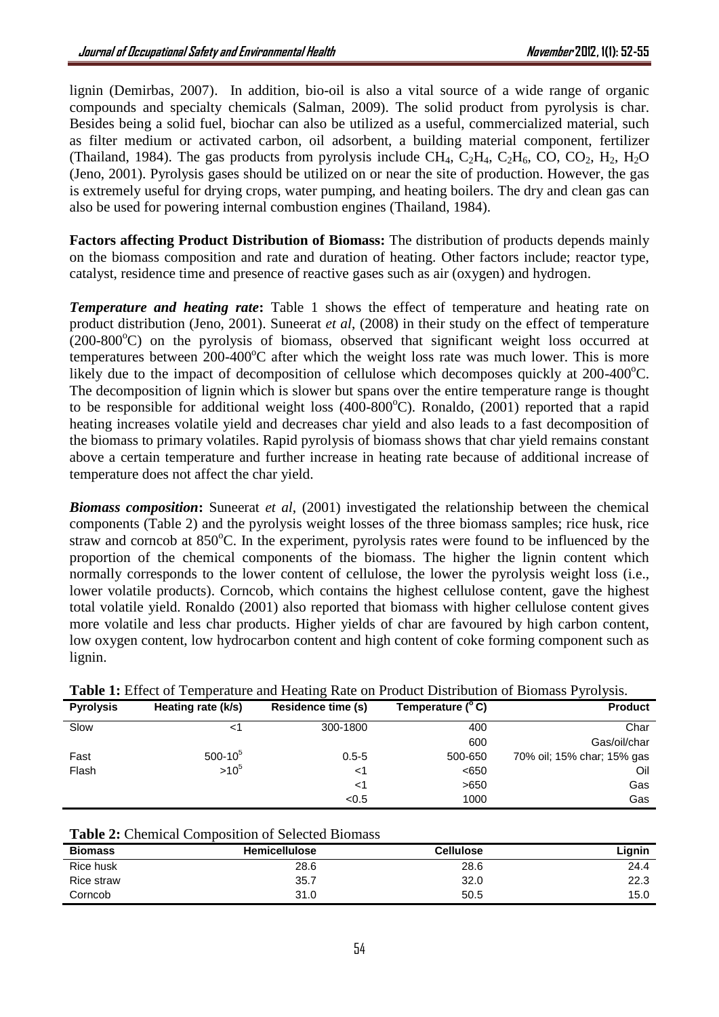lignin (Demirbas, 2007). In addition, bio-oil is also a vital source of a wide range of organic compounds and specialty chemicals (Salman, 2009). The solid product from pyrolysis is char. Besides being a solid fuel, biochar can also be utilized as a useful, commercialized material, such as filter medium or activated carbon, oil adsorbent, a building material component, fertilizer (Thailand, 1984). The gas products from pyrolysis include CH<sub>4</sub>, C<sub>2</sub>H<sub>4</sub>, C<sub>2</sub>H<sub>6</sub>, CO, CO<sub>2</sub>, H<sub>2</sub>, H<sub>2</sub>O (Jeno, 2001). Pyrolysis gases should be utilized on or near the site of production. However, the gas is extremely useful for drying crops, water pumping, and heating boilers. The dry and clean gas can also be used for powering internal combustion engines (Thailand, 1984).

**Factors affecting Product Distribution of Biomass:** The distribution of products depends mainly on the biomass composition and rate and duration of heating. Other factors include; reactor type, catalyst, residence time and presence of reactive gases such as air (oxygen) and hydrogen.

**Temperature and heating rate:** Table 1 shows the effect of temperature and heating rate on product distribution (Jeno, 2001). Suneerat *et al*, (2008) in their study on the effect of temperature  $(200-800^{\circ}C)$  on the pyrolysis of biomass, observed that significant weight loss occurred at temperatures between  $200-400^{\circ}$ C after which the weight loss rate was much lower. This is more likely due to the impact of decomposition of cellulose which decomposes quickly at  $200-400^{\circ}$ C. The decomposition of lignin which is slower but spans over the entire temperature range is thought to be responsible for additional weight loss  $(400-800^{\circ}C)$ . Ronaldo,  $(2001)$  reported that a rapid heating increases volatile yield and decreases char yield and also leads to a fast decomposition of the biomass to primary volatiles. Rapid pyrolysis of biomass shows that char yield remains constant above a certain temperature and further increase in heating rate because of additional increase of temperature does not affect the char yield.

*Biomass composition***:** Suneerat *et al*, (2001) investigated the relationship between the chemical components (Table 2) and the pyrolysis weight losses of the three biomass samples; rice husk, rice straw and corncob at  $850^{\circ}$ C. In the experiment, pyrolysis rates were found to be influenced by the proportion of the chemical components of the biomass. The higher the lignin content which normally corresponds to the lower content of cellulose, the lower the pyrolysis weight loss (i.e., lower volatile products). Corncob, which contains the highest cellulose content, gave the highest total volatile yield. Ronaldo (2001) also reported that biomass with higher cellulose content gives more volatile and less char products. Higher yields of char are favoured by high carbon content, low oxygen content, low hydrocarbon content and high content of coke forming component such as lignin.

| Twore It Entert of Temperature and Heading Take on Frouwer Dhomowitch of Diomaso I (101/010) |                    |                    |                   |                            |  |
|----------------------------------------------------------------------------------------------|--------------------|--------------------|-------------------|----------------------------|--|
| <b>Pyrolysis</b>                                                                             | Heating rate (k/s) | Residence time (s) | Temperature (° C) | <b>Product</b>             |  |
| Slow                                                                                         |                    | 300-1800           | 400               | Char                       |  |
|                                                                                              |                    |                    | 600               | Gas/oil/char               |  |
| Fast                                                                                         | $500-10^{5}$       | $0.5 - 5$          | 500-650           | 70% oil; 15% char; 15% gas |  |
| Flash                                                                                        | $>10^{5}$          | <1                 | < 650             | Oil                        |  |
|                                                                                              |                    | $<$ 1              | >650              | Gas                        |  |
|                                                                                              |                    | < 0.5              | 1000              | Gas                        |  |

|  |  |  | Table 1: Effect of Temperature and Heating Rate on Product Distribution of Biomass Pyrolysis. |  |  |
|--|--|--|-----------------------------------------------------------------------------------------------|--|--|
|--|--|--|-----------------------------------------------------------------------------------------------|--|--|

|  |  | <b>Table 2:</b> Chemical Composition of Selected Biomass |  |  |
|--|--|----------------------------------------------------------|--|--|
|--|--|----------------------------------------------------------|--|--|

| <b>Biomass</b> | <b>Hemicellulose</b> | <b>Cellulose</b> | Lignin |
|----------------|----------------------|------------------|--------|
| Rice husk      | 28.6                 | 28.6             | 24.4   |
| Rice straw     | 35.7                 | 32.0             | 22.3   |
| Corncob        | 31.0                 | 50.5             | 15.0   |